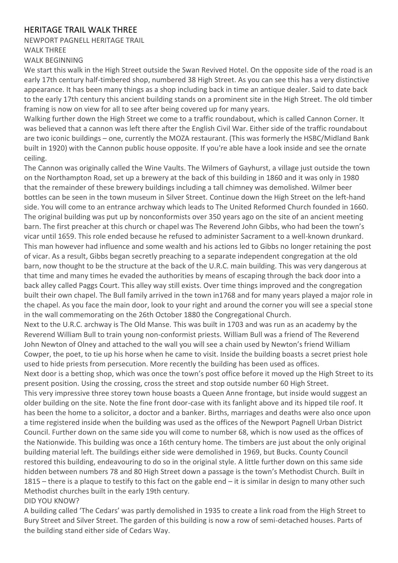## HERITAGE TRAIL WALK THREE

## NEWPORT PAGNELL HERITAGE TRAIL WALK THREE WALK BEGINNING

We start this walk in the High Street outside the Swan Revived Hotel. On the opposite side of the road is an early 17th century half-timbered shop, numbered 38 High Street. As you can see this has a very distinctive appearance. It has been many things as a shop including back in time an antique dealer. Said to date back to the early 17th century this ancient building stands on a prominent site in the High Street. The old timber framing is now on view for all to see after being covered up for many years.

Walking further down the High Street we come to a traffic roundabout, which is called Cannon Corner. It was believed that a cannon was left there after the English Civil War. Either side of the traffic roundabout are two iconic buildings – one, currently the MOZA restaurant. (This was formerly the HSBC/Midland Bank built in 1920) with the Cannon public house opposite. If you're able have a look inside and see the ornate ceiling.

The Cannon was originally called the Wine Vaults. The Wilmers of Gayhurst, a village just outside the town on the Northampton Road, set up a brewery at the back of this building in 1860 and it was only in 1980 that the remainder of these brewery buildings including a tall chimney was demolished. Wilmer beer bottles can be seen in the town museum in Silver Street. Continue down the High Street on the left-hand side. You will come to an entrance archway which leads to The United Reformed Church founded in 1660. The original building was put up by nonconformists over 350 years ago on the site of an ancient meeting barn. The first preacher at this church or chapel was The Reverend John Gibbs, who had been the town's vicar until 1659. This role ended because he refused to administer Sacrament to a well-known drunkard. This man however had influence and some wealth and his actions led to Gibbs no longer retaining the post of vicar. As a result, Gibbs began secretly preaching to a separate independent congregation at the old barn, now thought to be the structure at the back of the U.R.C. main building. This was very dangerous at that time and many times he evaded the authorities by means of escaping through the back door into a back alley called Paggs Court. This alley way still exists. Over time things improved and the congregation built their own chapel. The Bull family arrived in the town in1768 and for many years played a major role in the chapel. As you face the main door, look to your right and around the corner you will see a special stone in the wall commemorating on the 26th October 1880 the Congregational Church.

Next to the U.R.C. archway is The Old Manse. This was built in 1703 and was run as an academy by the Reverend William Bull to train young non-conformist priests. William Bull was a friend of The Reverend John Newton of Olney and attached to the wall you will see a chain used by Newton's friend William Cowper, the poet, to tie up his horse when he came to visit. Inside the building boasts a secret priest hole used to hide priests from persecution. More recently the building has been used as offices.

Next door is a betting shop, which was once the town's post office before it moved up the High Street to its present position. Using the crossing, cross the street and stop outside number 60 High Street.

This very impressive three storey town house boasts a Queen Anne frontage, but inside would suggest an older building on the site. Note the fine front door-case with its fanlight above and its hipped tile roof. It has been the home to a solicitor, a doctor and a banker. Births, marriages and deaths were also once upon a time registered inside when the building was used as the offices of the Newport Pagnell Urban District Council. Further down on the same side you will come to number 68, which is now used as the offices of the Nationwide. This building was once a 16th century home. The timbers are just about the only original building material left. The buildings either side were demolished in 1969, but Bucks. County Council restored this building, endeavouring to do so in the original style. A little further down on this same side hidden between numbers 78 and 80 High Street down a passage is the town's Methodist Church. Built in 1815 – there is a plaque to testify to this fact on the gable end – it is similar in design to many other such Methodist churches built in the early 19th century.

## DID YOU KNOW?

A building called 'The Cedars' was partly demolished in 1935 to create a link road from the High Street to Bury Street and Silver Street. The garden of this building is now a row of semi-detached houses. Parts of the building stand either side of Cedars Way.